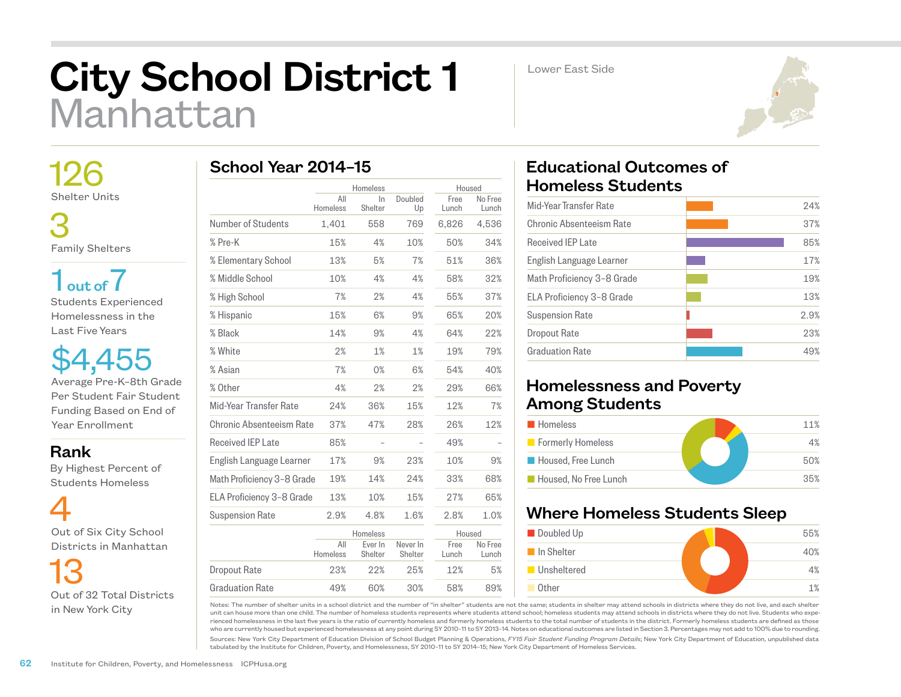## City School District 1 Manhattan

Lower East Side



 126 Shelter Units

 3 Family Shelters

 $1<sub>out of</sub> 7$ Students Experienced Homelessness in the Last Five Years

\$4,455 Average Pre-K–8th Grade Per Student Fair Student Funding Based on End of Year Enrollment

Rank

 By Highest Percent of Students Homeless



 13 Out of 32 Total Districts in New York City

|  |  | School Year 2014-15 |  |
|--|--|---------------------|--|
|--|--|---------------------|--|

|                            | Homeless        |                    |                     | Housed        |                  |
|----------------------------|-----------------|--------------------|---------------------|---------------|------------------|
|                            | All<br>Homeless | $\ln$<br>Shelter   | Doubled<br>Up       | Free<br>Lunch | No Free<br>Lunch |
| Number of Students         | 1,401           | 558                | 769                 | 6,826         | 4,536            |
| % Pre-K                    | 15%             | 4%                 | 10%                 | 50%           | 34%              |
| % Elementary School        | 13%             | 5%                 | 7%                  | 51%           | 36%              |
| % Middle School            | 10%             | 4%                 | 4%                  | 58%           | 32%              |
| % High School              | 7%              | 2%                 | 4%                  | 55%           | 37%              |
| % Hispanic                 | 15%             | 6%                 | 9%                  | 65%           | 20%              |
| % Black                    | 14%             | 9%                 | 4%                  | 64%           | 22%              |
| % White                    | 2%              | 1%                 | 1%                  | 19%           | 79%              |
| % Asian                    | 7%              | 0%                 | 6%                  | 54%           | 40%              |
| % Other                    | 4%              | 2%                 | 2%                  | 29%           | 66%              |
| Mid-Year Transfer Rate     | 24%             | 36%                | 15%                 | 12%           | 7%               |
| Chronic Absenteeism Rate   | 37%             | 47%                | 28%                 | 26%           | 12%              |
| <b>Received IEP Late</b>   | 85%             |                    |                     | 49%           |                  |
| English Language Learner   | 17%             | 9%                 | 23%                 | 10%           | 9%               |
| Math Proficiency 3-8 Grade | 19%             | 14%                | 24%                 | 33%           | 68%              |
| ELA Proficiency 3-8 Grade  | 13%             | 10%                | 15%                 | 27%           | 65%              |
| <b>Suspension Rate</b>     | 2.9%            | 4.8%               | 1.6%                | 2.8%          | 1.0%             |
|                            |                 | Homeless           |                     | Housed        |                  |
|                            | All<br>Homeless | Ever In<br>Shelter | Never In<br>Shelter | Free<br>Lunch | No Free<br>Lunch |
| Dropout Rate               | 23%             | 22%                | 25%                 | 12%           | 5%               |
| <b>Graduation Rate</b>     | 49%             | 60%                | 30%                 | 58%           | 89%              |

## Educational Outcomes of Homeless Students

| 24%  |
|------|
| 37%  |
| 85%  |
| 17%  |
| 19%  |
| 13%  |
| 2.9% |
| 23%  |
| 4.9% |
|      |

## Homelessness and Poverty Among Students

| <b>Homeless</b>       | 11% |
|-----------------------|-----|
| Formerly Homeless     | 4%  |
| Housed, Free Lunch    | 50% |
| Housed. No Free Lunch | 35% |

## Where Homeless Students Sleep



Notes: The number of shelter units in a school district and the number of "in shelter" students are not the same; students in shelter may attend schools in districts where they do not live, and each shelter unit can house more than one child. The number of homeless students represents where students attend school; homeless students may attend schools in districts where they do not live. Students who experienced homelessness in the last five years is the ratio of currently homeless and formerly homeless students to the total number of students in the district. Formerly homeless students are defined as those who are currently housed but experienced homelessness at any point during SY 2010–11 to SY 2013–14. Notes on educational outcomes are listed in Section 3. Percentages may not add to 100% due to rounding.

Sources: New York City Department of Education Division of School Budget Planning & Operations, *FY15 Fair Student Funding Program Details*; New York City Department of Education, unpublished data tabulated by the Institute for Children, Poverty, and Homelessness, SY 2010–11 to SY 2014–15; New York City Department of Homeless Services.